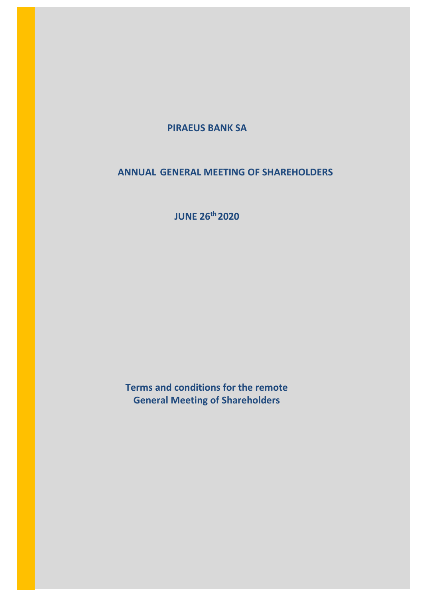# **PIRAEUS BANK SA**

# **ANNUAL GENERAL MEETING OF SHAREHOLDERS**

**JUNE 26th 2020**

**Terms and conditions for the remote General Meeting of Shareholders**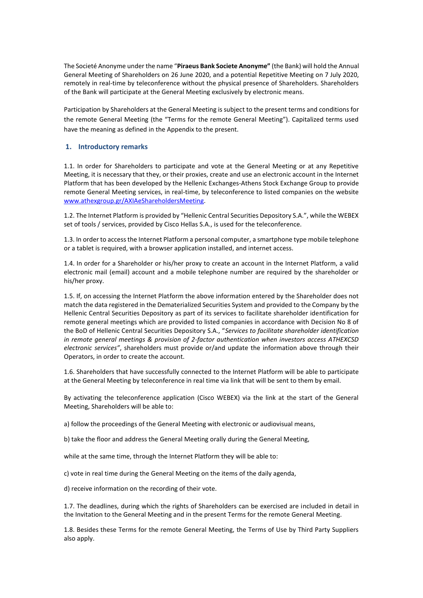The Societé Anonyme under the name "**Piraeus Bank Societe Anonyme"** (the Bank) will hold the Annual General Meeting of Shareholders on 26 June 2020, and a potential Repetitive Meeting on 7 July 2020, remotely in real-time by teleconference without the physical presence of Shareholders. Shareholders of the Bank will participate at the General Meeting exclusively by electronic means.

Participation by Shareholders at the General Meeting is subject to the present terms and conditions for the remote General Meeting (the "Terms for the remote General Meeting"). Capitalized terms used have the meaning as defined in the Appendix to the present.

#### **1. Introductory remarks**

1.1. In order for Shareholders to participate and vote at the General Meeting or at any Repetitive Meeting, it is necessary that they, or their proxies, create and use an electronic account in the Internet Platform that has been developed by the Hellenic Exchanges-Athens Stock Exchange Group to provide remote General Meeting services, in real-time, by teleconference to listed companies on the website [www.athexgroup.gr/AXIAeShareholdersMeeting.](http://www.athexgroup.gr/AXIAeShareholdersMeeting)

1.2. The Internet Platform is provided by "Hellenic Central Securities Depository S.A.", while the WEBEX set of tools / services, provided by Cisco Hellas S.A., is used for the teleconference.

1.3. In order to access the Internet Platform a personal computer, a smartphone type mobile telephone or a tablet is required, with a browser application installed, and internet access.

1.4. In order for a Shareholder or his/her proxy to create an account in the Internet Platform, a valid electronic mail (email) account and a mobile telephone number are required by the shareholder or his/her proxy.

1.5. If, on accessing the Internet Platform the above information entered by the Shareholder does not match the data registered in the Dematerialized Securities System and provided to the Company by the Hellenic Central Securities Depository as part of its services to facilitate shareholder identification for remote general meetings which are provided to listed companies in accordance with Decision No 8 of the BoD of Hellenic Central Securities Depository S.A., "*Services to facilitate shareholder identification in remote general meetings & provision of 2-factor authentication when investors access ATHEXCSD electronic services"*, shareholders must provide or/and update the information above through their Operators, in order to create the account.

1.6. Shareholders that have successfully connected to the Internet Platform will be able to participate at the General Meeting by teleconference in real time via link that will be sent to them by email.

By activating the teleconference application (Cisco WEBEX) via the link at the start of the General Meeting, Shareholders will be able to:

a) follow the proceedings of the General Meeting with electronic or audiovisual means,

b) take the floor and address the General Meeting orally during the General Meeting,

while at the same time, through the Internet Platform they will be able to:

c) vote in real time during the General Meeting on the items of the daily agenda,

d) receive information on the recording of their vote.

1.7. The deadlines, during which the rights of Shareholders can be exercised are included in detail in the Invitation to the General Meeting and in the present Terms for the remote General Meeting.

1.8. Besides these Terms for the remote General Meeting, the Terms of Use by Third Party Suppliers also apply.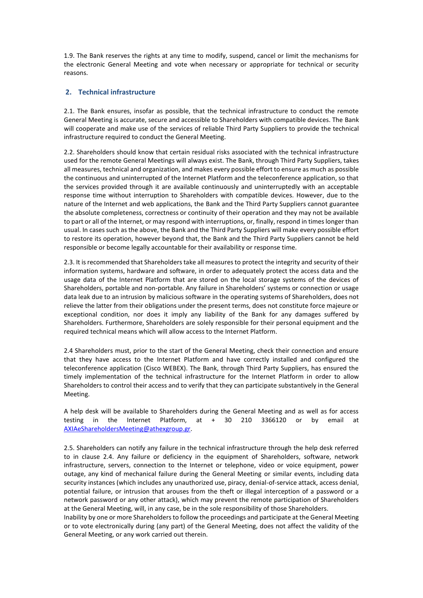1.9. The Bank reserves the rights at any time to modify, suspend, cancel or limit the mechanisms for the electronic General Meeting and vote when necessary or appropriate for technical or security reasons.

## **2. Technical infrastructure**

2.1. The Bank ensures, insofar as possible, that the technical infrastructure to conduct the remote General Meeting is accurate, secure and accessible to Shareholders with compatible devices. The Bank will cooperate and make use of the services of reliable Third Party Suppliers to provide the technical infrastructure required to conduct the General Meeting.

2.2. Shareholders should know that certain residual risks associated with the technical infrastructure used for the remote General Meetings will always exist. The Bank, through Third Party Suppliers, takes all measures, technical and organization, and makes every possible effort to ensure as much as possible the continuous and uninterrupted of the Internet Platform and the teleconference application, so that the services provided through it are available continuously and uninterruptedly with an acceptable response time without interruption to Shareholders with compatible devices. However, due to the nature of the Internet and web applications, the Bank and the Third Party Suppliers cannot guarantee the absolute completeness, correctness or continuity of their operation and they may not be available to part or all of the Internet, or may respond with interruptions, or, finally, respond in times longer than usual. In cases such as the above, the Bank and the Third Party Suppliers will make every possible effort to restore its operation, however beyond that, the Bank and the Third Party Suppliers cannot be held responsible or become legally accountable for their availability or response time.

2.3. It is recommended that Shareholders take all measures to protect the integrity and security of their information systems, hardware and software, in order to adequately protect the access data and the usage data of the Internet Platform that are stored on the local storage systems of the devices of Shareholders, portable and non-portable. Any failure in Shareholders' systems or connection or usage data leak due to an intrusion by malicious software in the operating systems of Shareholders, does not relieve the latter from their obligations under the present terms, does not constitute force majeure or exceptional condition, nor does it imply any liability of the Bank for any damages suffered by Shareholders. Furthermore, Shareholders are solely responsible for their personal equipment and the required technical means which will allow access to the Internet Platform.

2.4 Shareholders must, prior to the start of the General Meeting, check their connection and ensure that they have access to the Internet Platform and have correctly installed and configured the teleconference application (Cisco WEBEX). The Bank, through Third Party Suppliers, has ensured the timely implementation of the technical infrastructure for the Internet Platform in order to allow Shareholders to control their access and to verify that they can participate substantively in the General Meeting.

A help desk will be available to Shareholders during the General Meeting and as well as for access testing in the Internet Platform, at + 30 210 3366120 or by email at [AXIAeShareholdersMeeting@athexgroup.gr.](mailto:AXIAeShareholdersMeeting@athexgroup.gr)

2.5. Shareholders can notify any failure in the technical infrastructure through the help desk referred to in clause 2.4. Any failure or deficiency in the equipment of Shareholders, software, network infrastructure, servers, connection to the Internet or telephone, video or voice equipment, power outage, any kind of mechanical failure during the General Meeting or similar events, including data security instances (which includes any unauthorized use, piracy, denial-of-service attack, access denial, potential failure, or intrusion that arouses from the theft or illegal interception of a password or a network password or any other attack), which may prevent the remote participation of Shareholders at the General Meeting, will, in any case, be in the sole responsibility of those Shareholders.

Inability by one or more Shareholders to follow the proceedings and participate at the General Meeting or to vote electronically during (any part) of the General Meeting, does not affect the validity of the General Meeting, or any work carried out therein.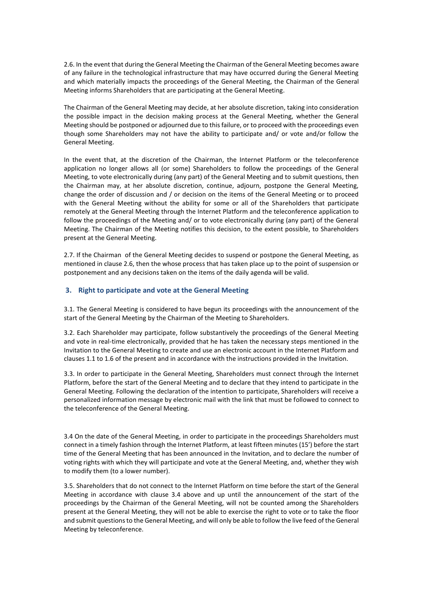2.6. In the event that during the General Meeting the Chairman of the General Meeting becomes aware of any failure in the technological infrastructure that may have occurred during the General Meeting and which materially impacts the proceedings of the General Meeting, the Chairman of the General Meeting informs Shareholders that are participating at the General Meeting.

The Chairman of the General Meeting may decide, at her absolute discretion, taking into consideration the possible impact in the decision making process at the General Meeting, whether the General Meeting should be postponed or adjourned due to this failure, or to proceed with the proceedings even though some Shareholders may not have the ability to participate and/ or vote and/or follow the General Meeting.

In the event that, at the discretion of the Chairman, the Internet Platform or the teleconference application no longer allows all (or some) Shareholders to follow the proceedings of the General Meeting, to vote electronically during (any part) of the General Meeting and to submit questions, then the Chairman may, at her absolute discretion, continue, adjourn, postpone the General Meeting, change the order of discussion and / or decision on the items of the General Meeting or to proceed with the General Meeting without the ability for some or all of the Shareholders that participate remotely at the General Meeting through the Internet Platform and the teleconference application to follow the proceedings of the Meeting and/ or to vote electronically during (any part) of the General Meeting. The Chairman of the Meeting notifies this decision, to the extent possible, to Shareholders present at the General Meeting.

2.7. If the Chairman of the General Meeting decides to suspend or postpone the General Meeting, as mentioned in clause 2.6, then the whose process that has taken place up to the point of suspension or postponement and any decisions taken on the items of the daily agenda will be valid.

## **3. Right to participate and vote at the General Meeting**

3.1. The General Meeting is considered to have begun its proceedings with the announcement of the start of the General Meeting by the Chairman of the Meeting to Shareholders.

3.2. Each Shareholder may participate, follow substantively the proceedings of the General Meeting and vote in real-time electronically, provided that he has taken the necessary steps mentioned in the Invitation to the General Meeting to create and use an electronic account in the Internet Platform and clauses 1.1 to 1.6 of the present and in accordance with the instructions provided in the Invitation.

3.3. In order to participate in the General Meeting, Shareholders must connect through the Internet Platform, before the start of the General Meeting and to declare that they intend to participate in the General Meeting. Following the declaration of the intention to participate, Shareholders will receive a personalized information message by electronic mail with the link that must be followed to connect to the teleconference of the General Meeting.

3.4 On the date of the General Meeting, in order to participate in the proceedings Shareholders must connect in a timely fashion through the Internet Platform, at least fifteen minutes (15') before the start time of the General Meeting that has been announced in the Invitation, and to declare the number of voting rights with which they will participate and vote at the General Meeting, and, whether they wish to modify them (to a lower number).

3.5. Shareholders that do not connect to the Internet Platform on time before the start of the General Meeting in accordance with clause 3.4 above and up until the announcement of the start of the proceedings by the Chairman of the General Meeting, will not be counted among the Shareholders present at the General Meeting, they will not be able to exercise the right to vote or to take the floor and submit questions to the General Meeting, and will only be able to follow the live feed of the General Meeting by teleconference.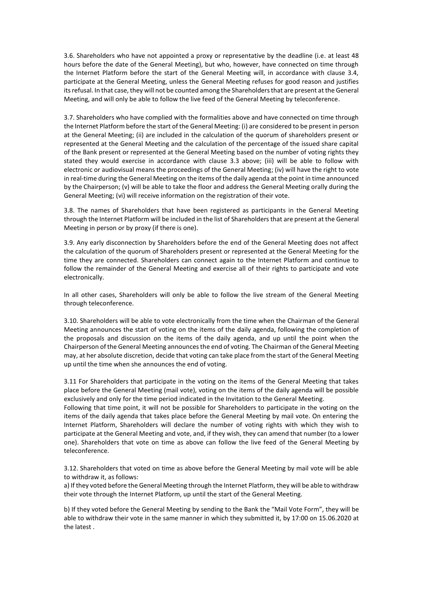3.6. Shareholders who have not appointed a proxy or representative by the deadline (i.e. at least 48 hours before the date of the General Meeting), but who, however, have connected on time through the Internet Platform before the start of the General Meeting will, in accordance with clause 3.4, participate at the General Meeting, unless the General Meeting refuses for good reason and justifies its refusal. In that case, they will not be counted among the Shareholders that are present at the General Meeting, and will only be able to follow the live feed of the General Meeting by teleconference.

3.7. Shareholders who have complied with the formalities above and have connected on time through the Internet Platform before the start of the General Meeting: (i) are considered to be present in person at the General Meeting; (ii) are included in the calculation of the quorum of shareholders present or represented at the General Meeting and the calculation of the percentage of the issued share capital of the Bank present or represented at the General Meeting based on the number of voting rights they stated they would exercise in accordance with clause 3.3 above; (iii) will be able to follow with electronic or audiovisual means the proceedings of the General Meeting; (iv) will have the right to vote in real-time during the General Meeting on the items of the daily agenda at the point in time announced by the Chairperson; (v) will be able to take the floor and address the General Meeting orally during the General Meeting; (vi) will receive information on the registration of their vote.

3.8. The names of Shareholders that have been registered as participants in the General Meeting through the Internet Platform will be included in the list of Shareholders that are present at the General Meeting in person or by proxy (if there is one).

3.9. Any early disconnection by Shareholders before the end of the General Meeting does not affect the calculation of the quorum of Shareholders present or represented at the General Meeting for the time they are connected. Shareholders can connect again to the Internet Platform and continue to follow the remainder of the General Meeting and exercise all of their rights to participate and vote electronically.

In all other cases, Shareholders will only be able to follow the live stream of the General Meeting through teleconference.

3.10. Shareholders will be able to vote electronically from the time when the Chairman of the General Meeting announces the start of voting on the items of the daily agenda, following the completion of the proposals and discussion on the items of the daily agenda, and up until the point when the Chairperson of the General Meeting announces the end of voting. The Chairman of the General Meeting may, at her absolute discretion, decide that voting can take place from the start of the General Meeting up until the time when she announces the end of voting.

3.11 For Shareholders that participate in the voting on the items of the General Meeting that takes place before the General Meeting (mail vote), voting on the items of the daily agenda will be possible exclusively and only for the time period indicated in the Invitation to the General Meeting.

Following that time point, it will not be possible for Shareholders to participate in the voting on the items of the daily agenda that takes place before the General Meeting by mail vote. On entering the Internet Platform, Shareholders will declare the number of voting rights with which they wish to participate at the General Meeting and vote, and, if they wish, they can amend that number (to a lower one). Shareholders that vote on time as above can follow the live feed of the General Meeting by teleconference.

3.12. Shareholders that voted on time as above before the General Meeting by mail vote will be able to withdraw it, as follows:

a) If they voted before the General Meeting through the Internet Platform, they will be able to withdraw their vote through the Internet Platform, up until the start of the General Meeting.

b) If they voted before the General Meeting by sending to the Bank the "Mail Vote Form", they will be able to withdraw their vote in the same manner in which they submitted it, by 17:00 on 15.06.2020 at the latest .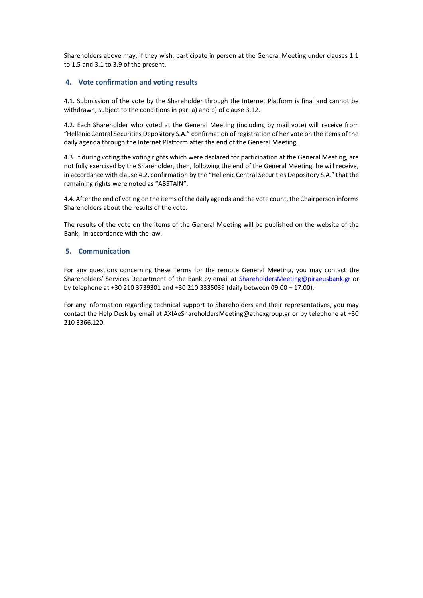Shareholders above may, if they wish, participate in person at the General Meeting under clauses 1.1 to 1.5 and 3.1 to 3.9 of the present.

## **4. Vote confirmation and voting results**

4.1. Submission of the vote by the Shareholder through the Internet Platform is final and cannot be withdrawn, subject to the conditions in par. a) and b) of clause 3.12.

4.2. Each Shareholder who voted at the General Meeting (including by mail vote) will receive from "Hellenic Central Securities Depository S.A." confirmation of registration of her vote on the items of the daily agenda through the Internet Platform after the end of the General Meeting.

4.3. If during voting the voting rights which were declared for participation at the General Meeting, are not fully exercised by the Shareholder, then, following the end of the General Meeting, he will receive, in accordance with clause 4.2, confirmation by the "Hellenic Central Securities Depository S.A." that the remaining rights were noted as "ABSTAIN".

4.4. After the end of voting on the items of the daily agenda and the vote count, the Chairperson informs Shareholders about the results of the vote.

The results of the vote on the items of the General Meeting will be published on the website of the Bank, in accordance with the law.

### **5. Communication**

For any questions concerning these Terms for the remote General Meeting, you may contact the Shareholders' Services Department of the Bank by email at [ShareholdersMeeting@piraeusbank.gr](mailto:sharesdept@piraeusbank.gr) or by telephone at +30 210 3739301 and +30 210 3335039 (daily between 09.00 – 17.00).

For any information regarding technical support to Shareholders and their representatives, you may contact the Help Desk by email at AXIAeShareholdersMeeting@athexgroup.gr or by telephone at +30 210 3366.120.